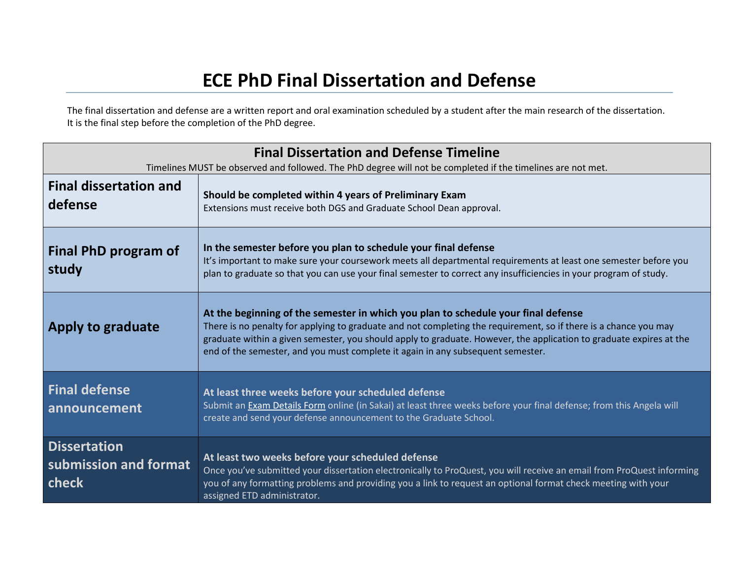## **ECE PhD Final Dissertation and Defense**

The final dissertation and defense are a written report and oral examination scheduled by a student after the main research of the dissertation. It is the final step before the completion of the PhD degree.

| <b>Final Dissertation and Defense Timeline</b><br>Timelines MUST be observed and followed. The PhD degree will not be completed if the timelines are not met. |                                                                                                                                                                                                                                                                                                                                                                                                                 |  |
|---------------------------------------------------------------------------------------------------------------------------------------------------------------|-----------------------------------------------------------------------------------------------------------------------------------------------------------------------------------------------------------------------------------------------------------------------------------------------------------------------------------------------------------------------------------------------------------------|--|
| <b>Final dissertation and</b><br>defense                                                                                                                      | Should be completed within 4 years of Preliminary Exam<br>Extensions must receive both DGS and Graduate School Dean approval.                                                                                                                                                                                                                                                                                   |  |
| <b>Final PhD program of</b><br>study                                                                                                                          | In the semester before you plan to schedule your final defense<br>It's important to make sure your coursework meets all departmental requirements at least one semester before you<br>plan to graduate so that you can use your final semester to correct any insufficiencies in your program of study.                                                                                                         |  |
| Apply to graduate                                                                                                                                             | At the beginning of the semester in which you plan to schedule your final defense<br>There is no penalty for applying to graduate and not completing the requirement, so if there is a chance you may<br>graduate within a given semester, you should apply to graduate. However, the application to graduate expires at the<br>end of the semester, and you must complete it again in any subsequent semester. |  |
| <b>Final defense</b><br>announcement                                                                                                                          | At least three weeks before your scheduled defense<br>Submit an Exam Details Form online (in Sakai) at least three weeks before your final defense; from this Angela will<br>create and send your defense announcement to the Graduate School.                                                                                                                                                                  |  |
| <b>Dissertation</b><br>submission and format<br>check                                                                                                         | At least two weeks before your scheduled defense<br>Once you've submitted your dissertation electronically to ProQuest, you will receive an email from ProQuest informing<br>you of any formatting problems and providing you a link to request an optional format check meeting with your<br>assigned ETD administrator.                                                                                       |  |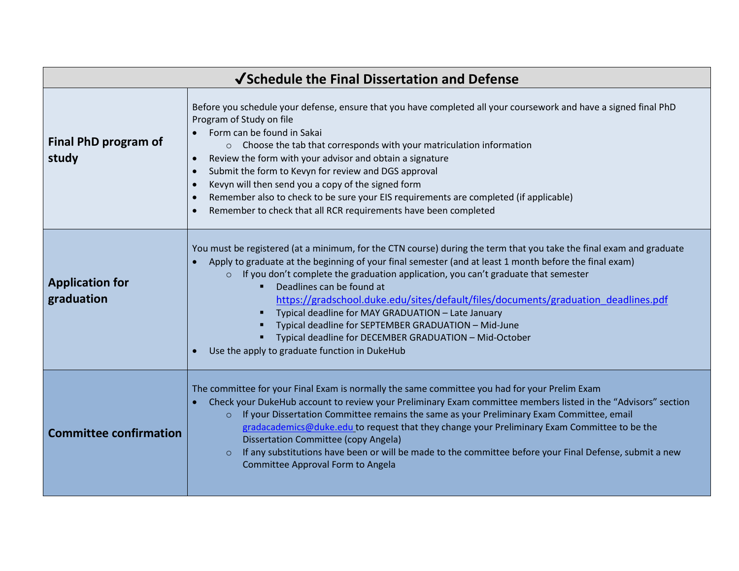| √Schedule the Final Dissertation and Defense |                                                                                                                                                                                                                                                                                                                                                                                                                                                                                                                                                                                                                                                                                 |  |
|----------------------------------------------|---------------------------------------------------------------------------------------------------------------------------------------------------------------------------------------------------------------------------------------------------------------------------------------------------------------------------------------------------------------------------------------------------------------------------------------------------------------------------------------------------------------------------------------------------------------------------------------------------------------------------------------------------------------------------------|--|
| Final PhD program of<br>study                | Before you schedule your defense, ensure that you have completed all your coursework and have a signed final PhD<br>Program of Study on file<br>Form can be found in Sakai<br>○ Choose the tab that corresponds with your matriculation information<br>Review the form with your advisor and obtain a signature<br>Submit the form to Kevyn for review and DGS approval<br>Kevyn will then send you a copy of the signed form<br>Remember also to check to be sure your EIS requirements are completed (if applicable)<br>Remember to check that all RCR requirements have been completed                                                                                       |  |
| <b>Application for</b><br>graduation         | You must be registered (at a minimum, for the CTN course) during the term that you take the final exam and graduate<br>Apply to graduate at the beginning of your final semester (and at least 1 month before the final exam)<br>If you don't complete the graduation application, you can't graduate that semester<br>$\circ$<br>Deadlines can be found at<br>٠<br>https://gradschool.duke.edu/sites/default/files/documents/graduation deadlines.pdf<br>Typical deadline for MAY GRADUATION - Late January<br>Typical deadline for SEPTEMBER GRADUATION - Mid-June<br>Typical deadline for DECEMBER GRADUATION - Mid-October<br>Use the apply to graduate function in DukeHub |  |
| <b>Committee confirmation</b>                | The committee for your Final Exam is normally the same committee you had for your Prelim Exam<br>Check your DukeHub account to review your Preliminary Exam committee members listed in the "Advisors" section<br>If your Dissertation Committee remains the same as your Preliminary Exam Committee, email<br>$\circ$<br>gradacademics@duke.edu to request that they change your Preliminary Exam Committee to be the<br><b>Dissertation Committee (copy Angela)</b><br>If any substitutions have been or will be made to the committee before your Final Defense, submit a new<br>$\circ$<br>Committee Approval Form to Angela                                                |  |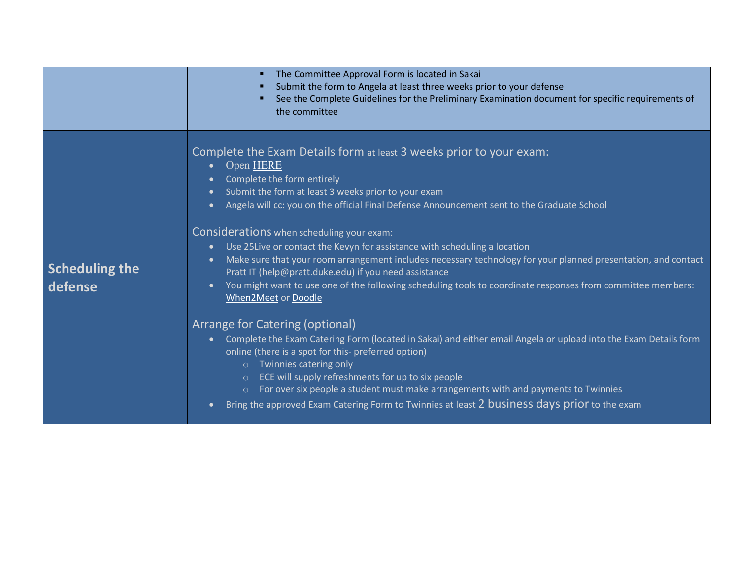|                                  | The Committee Approval Form is located in Sakai<br>п<br>Submit the form to Angela at least three weeks prior to your defense<br>п<br>See the Complete Guidelines for the Preliminary Examination document for specific requirements of<br>the committee                                                                                                                                                                                                                                                                                                                                                                                                                                                                                                                                                                                                                                                                                                                                                                                                                                                                                                                                                                                                                                                               |
|----------------------------------|-----------------------------------------------------------------------------------------------------------------------------------------------------------------------------------------------------------------------------------------------------------------------------------------------------------------------------------------------------------------------------------------------------------------------------------------------------------------------------------------------------------------------------------------------------------------------------------------------------------------------------------------------------------------------------------------------------------------------------------------------------------------------------------------------------------------------------------------------------------------------------------------------------------------------------------------------------------------------------------------------------------------------------------------------------------------------------------------------------------------------------------------------------------------------------------------------------------------------------------------------------------------------------------------------------------------------|
| <b>Scheduling the</b><br>defense | Complete the Exam Details form at least 3 weeks prior to your exam:<br>Open HERE<br>$\bullet$<br>Complete the form entirely<br>$\bullet$<br>Submit the form at least 3 weeks prior to your exam<br>$\bullet$<br>Angela will cc: you on the official Final Defense Announcement sent to the Graduate School<br>Considerations when scheduling your exam:<br>Use 25 Live or contact the Kevyn for assistance with scheduling a location<br>$\bullet$<br>Make sure that your room arrangement includes necessary technology for your planned presentation, and contact<br>$\bullet$<br>Pratt IT (help@pratt.duke.edu) if you need assistance<br>You might want to use one of the following scheduling tools to coordinate responses from committee members:<br>$\bullet$<br>When2Meet or Doodle<br>Arrange for Catering (optional)<br>Complete the Exam Catering Form (located in Sakai) and either email Angela or upload into the Exam Details form<br>$\bullet$ .<br>online (there is a spot for this- preferred option)<br>o Twinnies catering only<br>ECE will supply refreshments for up to six people<br>$\circ$<br>For over six people a student must make arrangements with and payments to Twinnies<br>$\circ$<br>Bring the approved Exam Catering Form to Twinnies at least 2 business days prior to the exam |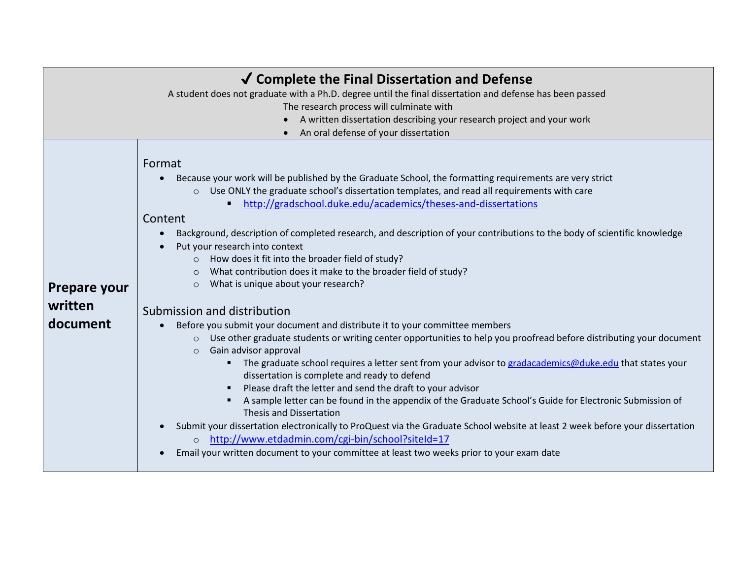| √ Complete the Final Dissertation and Defense                                                            |                                                                                                                                                                                                                                                                                                                                                                                                                                                                                                                                                                                                                                                                                                                                                                                                                                                                                                                                                                                                                                                                                                                                                                                                                                                                                                                                                                                                                                                                                                                                                                                                                                           |  |  |  |
|----------------------------------------------------------------------------------------------------------|-------------------------------------------------------------------------------------------------------------------------------------------------------------------------------------------------------------------------------------------------------------------------------------------------------------------------------------------------------------------------------------------------------------------------------------------------------------------------------------------------------------------------------------------------------------------------------------------------------------------------------------------------------------------------------------------------------------------------------------------------------------------------------------------------------------------------------------------------------------------------------------------------------------------------------------------------------------------------------------------------------------------------------------------------------------------------------------------------------------------------------------------------------------------------------------------------------------------------------------------------------------------------------------------------------------------------------------------------------------------------------------------------------------------------------------------------------------------------------------------------------------------------------------------------------------------------------------------------------------------------------------------|--|--|--|
| A student does not graduate with a Ph.D. degree until the final dissertation and defense has been passed |                                                                                                                                                                                                                                                                                                                                                                                                                                                                                                                                                                                                                                                                                                                                                                                                                                                                                                                                                                                                                                                                                                                                                                                                                                                                                                                                                                                                                                                                                                                                                                                                                                           |  |  |  |
|                                                                                                          | The research process will culminate with                                                                                                                                                                                                                                                                                                                                                                                                                                                                                                                                                                                                                                                                                                                                                                                                                                                                                                                                                                                                                                                                                                                                                                                                                                                                                                                                                                                                                                                                                                                                                                                                  |  |  |  |
|                                                                                                          | A written dissertation describing your research project and your work                                                                                                                                                                                                                                                                                                                                                                                                                                                                                                                                                                                                                                                                                                                                                                                                                                                                                                                                                                                                                                                                                                                                                                                                                                                                                                                                                                                                                                                                                                                                                                     |  |  |  |
|                                                                                                          | An oral defense of your dissertation                                                                                                                                                                                                                                                                                                                                                                                                                                                                                                                                                                                                                                                                                                                                                                                                                                                                                                                                                                                                                                                                                                                                                                                                                                                                                                                                                                                                                                                                                                                                                                                                      |  |  |  |
| <b>Prepare your</b><br>written<br>document                                                               | Format<br>Because your work will be published by the Graduate School, the formatting requirements are very strict<br>Use ONLY the graduate school's dissertation templates, and read all requirements with care<br>$\circ$<br>http://gradschool.duke.edu/academics/theses-and-dissertations<br>Content<br>Background, description of completed research, and description of your contributions to the body of scientific knowledge<br>$\bullet$<br>Put your research into context<br>How does it fit into the broader field of study?<br>$\circ$<br>What contribution does it make to the broader field of study?<br>$\circ$<br>What is unique about your research?<br>$\circ$<br>Submission and distribution<br>Before you submit your document and distribute it to your committee members<br>Use other graduate students or writing center opportunities to help you proofread before distributing your document<br>$\circ$<br>Gain advisor approval<br>$\circ$<br>The graduate school requires a letter sent from your advisor to gradacademics@duke.edu that states your<br>dissertation is complete and ready to defend<br>Please draft the letter and send the draft to your advisor<br>A sample letter can be found in the appendix of the Graduate School's Guide for Electronic Submission of<br>٠<br><b>Thesis and Dissertation</b><br>Submit your dissertation electronically to ProQuest via the Graduate School website at least 2 week before your dissertation<br>http://www.etdadmin.com/cgi-bin/school?siteId=17<br>$\circ$<br>Email your written document to your committee at least two weeks prior to your exam date |  |  |  |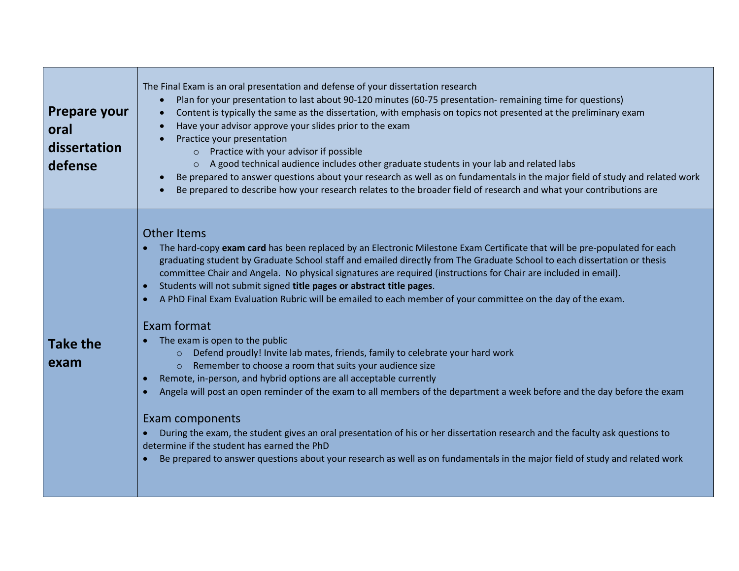| <b>Prepare your</b><br>oral<br>dissertation<br>defense | The Final Exam is an oral presentation and defense of your dissertation research<br>Plan for your presentation to last about 90-120 minutes (60-75 presentation- remaining time for questions)<br>$\bullet$<br>Content is typically the same as the dissertation, with emphasis on topics not presented at the preliminary exam<br>$\bullet$<br>Have your advisor approve your slides prior to the exam<br>$\bullet$<br>Practice your presentation<br>Practice with your advisor if possible<br>A good technical audience includes other graduate students in your lab and related labs<br>$\circ$<br>Be prepared to answer questions about your research as well as on fundamentals in the major field of study and related work<br>$\bullet$<br>Be prepared to describe how your research relates to the broader field of research and what your contributions are                                                                                                                                                                                                                                                                                                                                                                                                                                                                                                                                         |
|--------------------------------------------------------|--------------------------------------------------------------------------------------------------------------------------------------------------------------------------------------------------------------------------------------------------------------------------------------------------------------------------------------------------------------------------------------------------------------------------------------------------------------------------------------------------------------------------------------------------------------------------------------------------------------------------------------------------------------------------------------------------------------------------------------------------------------------------------------------------------------------------------------------------------------------------------------------------------------------------------------------------------------------------------------------------------------------------------------------------------------------------------------------------------------------------------------------------------------------------------------------------------------------------------------------------------------------------------------------------------------------------------------------------------------------------------------------------------------|
| <b>Take the</b><br>exam                                | <b>Other Items</b><br>The hard-copy exam card has been replaced by an Electronic Milestone Exam Certificate that will be pre-populated for each<br>graduating student by Graduate School staff and emailed directly from The Graduate School to each dissertation or thesis<br>committee Chair and Angela. No physical signatures are required (instructions for Chair are included in email).<br>Students will not submit signed title pages or abstract title pages.<br>$\bullet$<br>A PhD Final Exam Evaluation Rubric will be emailed to each member of your committee on the day of the exam.<br>$\bullet$<br>Exam format<br>The exam is open to the public<br>Defend proudly! Invite lab mates, friends, family to celebrate your hard work<br>$\circ$<br>Remember to choose a room that suits your audience size<br>$\circ$<br>Remote, in-person, and hybrid options are all acceptable currently<br>$\bullet$<br>Angela will post an open reminder of the exam to all members of the department a week before and the day before the exam<br>$\bullet$<br>Exam components<br>During the exam, the student gives an oral presentation of his or her dissertation research and the faculty ask questions to<br>$\bullet$<br>determine if the student has earned the PhD<br>Be prepared to answer questions about your research as well as on fundamentals in the major field of study and related work |